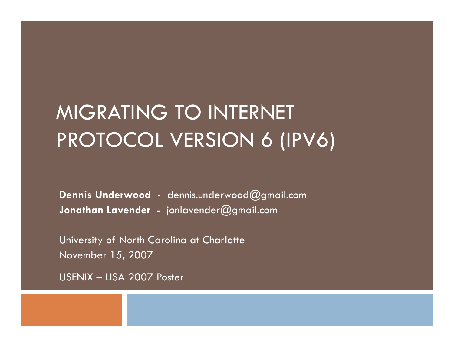### MIGRATING TO INTERNET PROTOCOL VERSION 6 (IPV6)

**Dennis Underwood** - dennis.underwood@gmail.com **Jonathan Lavender** - jonlavender@gmail.com

University of North Carolina at Charlotte November 15, 2007

USENIX – LISA 2007 Poster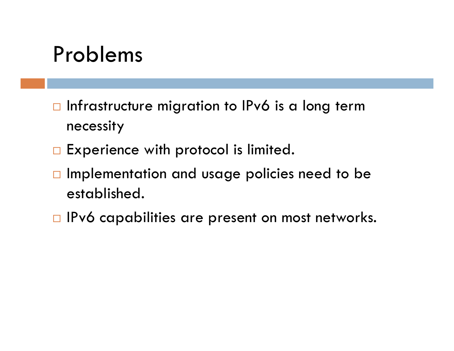### Problems

- $\Box$  Infrastructure migration to IPv6 is a long term necessity
- $\square$  Experience with protocol is limited.
- $\Box$  Implementation and usage policies need to be established.
- $\Box$  IPv6 capabilities are present on most networks.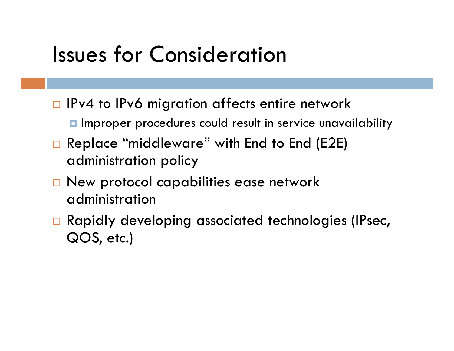### Issues for Consideration

- $\Box$  IPv4 to IPv6 migration affects entire network
	- **I** Improper procedures could result in service unavailability
- □ Replace "middleware" with End to End (E2E) administration policy
- $\square$  New protocol capabilities ease network administration
- □ Rapidly developing associated technologies (IPsec, QOS, etc.)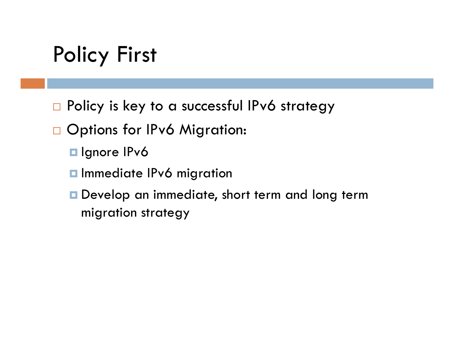# Policy First

- □ Policy is key to a successful IPv6 strategy
- □ Options for IPv6 Migration:
	- **□** Ignore IPv6
	- **Inmediate IPv6 migration**
	- **Develop an immediate, short term and long term** migration strategy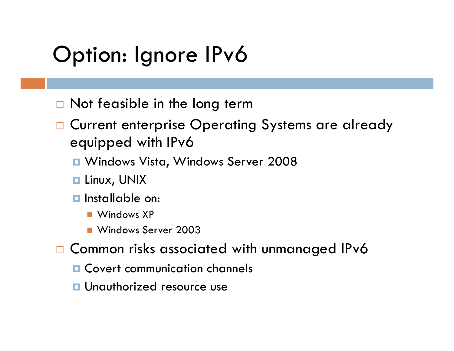# Option: Ignore IPv6

- $\overline{\Box}$  Not feasible in the long term
- □ Current enterprise Operating Systems are already equipped with IPv6
	- Windows Vista, Windows Server 2008
	- **Linux, UNIX**
	- **<u>n</u>** Installable on:
		- Windows XP
		- Windows Server 2003
- □ Common risks associated with unmanaged IPv6
	- **Q** Covert communication channels
	- **<u>u</u>** Unauthorized resource use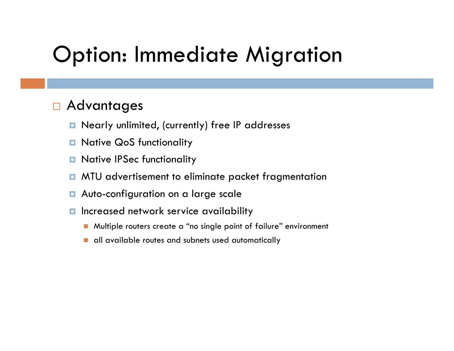### Option: Immediate Migration

#### $\Box$ Advantages

- **n** Nearly unlimited, (currently) free IP addresses
- $\Box$ Native QoS functionality
- □ Native IPSec functionality
- □ MTU advertisement to eliminate packet fragmentation
- $\Box$ Auto-configuration on a large scale
- $\Box$  Increased network service availability
	- Multiple routers create a "no single point of failure" environment
	- H all available routes and subnets used automatically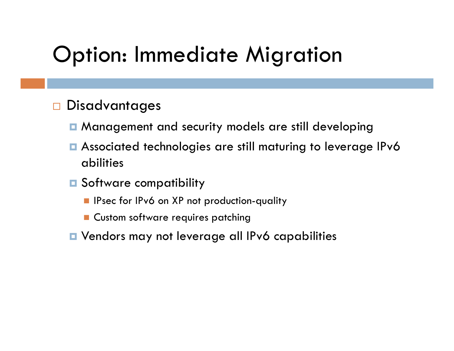### Option: Immediate Migration

#### $\Box$ **Disadvantages**

- **n** Management and security models are still developing
- Associated technologies are still maturing to leverage IPv6 abilities
- **E** Software compatibility
	- **IF IPsec for IPv6 on XP not production-quality**
	- **E** Custom software requires patching
- Vendors may not leverage all IPv6 capabilities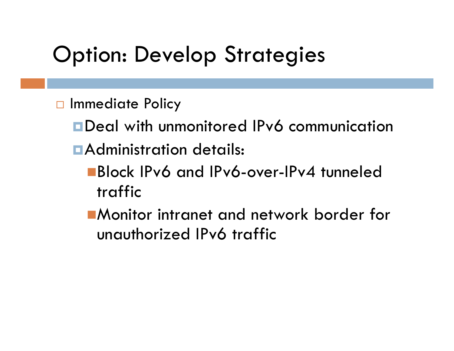### Option: Develop Strategies

- $\Box$  Immediate Policy
	- Deal with unmonitored IPv6 communication
	- Administration details:
		- Block IPv6 and IPv6-over-IPv4 tunneled traffic
		- Monitor intranet and network border for unauthorized IPv6 traffic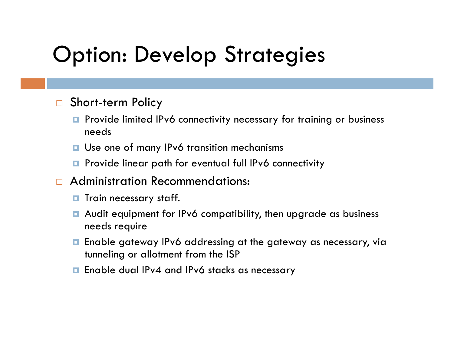# Option: Develop Strategies

#### $\Box$ Short-term Policy

- **P** Provide limited IPv6 connectivity necessary for training or business needs
- **u** Use one of many IPv6 transition mechanisms
- **P** Provide linear path for eventual full IPv6 connectivity
- Administration Recommendations:
	- $\blacksquare$  Train necessary staff.
	- **Audit equipment for IPv6 compatibility, then upgrade as business** needs require
	- Enable gateway IPv6 addressing at the gateway as necessary, via tunneling or allotment from the ISP
	- **E** Enable dual IPv4 and IPv6 stacks as necessary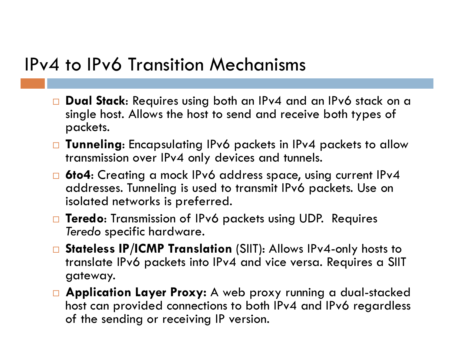### IPv4 to IPv6 Transition Mechanisms

- $\Box$  **Dual Stack**: Requires using both an IPv4 and an IPv6 stack on a single host. Allows the host to send and receive both types of packets.
- $\Box$  **Tunneling**: Encapsulating IPv6 packets in IPv4 packets to allow transmission over IPv4 only devices and tunnels.
- $\Box$  **6to4**: Creating a mock IPv6 address space, using current IPv4 addresses. Tunneling is used to transmit IPv6 packets. Use on isolated networks is preferred.
- $\Box$  **Teredo**: Transmission of IPv6 packets using UDP. Requires *Teredo* specific hardware.
- $\Box$  **Stateless IP/ICMP Translation** (SIIT): Allows IPv4-only hosts to translate IPv6 packets into IPv4 and vice versa. Requires a SIIT gateway.
- **Application Layer Proxy:** A web proxy running a dual-stacked host can provided connections to both IPv4 and IPv6 regardless of the sending or receiving IP version.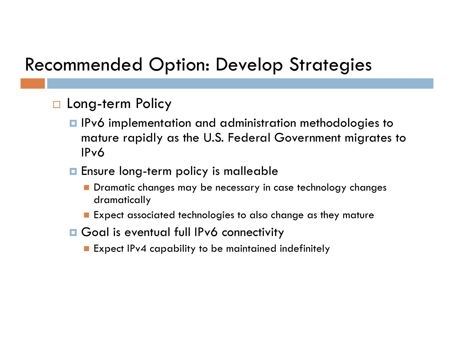### Recommended Option: Develop Strategies

### □ Long-term Policy

- **IPv6** implementation and administration methodologies to mature rapidly as the U.S. Federal Government migrates to IPv6
- **E** Ensure long-term policy is malleable
	- **Dimides Dramatic changes may be necessary in case technology changes** dramatically
	- **Expect associated technologies to also change as they mature**
- **Goal is eventual full IPv6 connectivity** 
	- Expect IPv4 capability to be maintained indefinitely